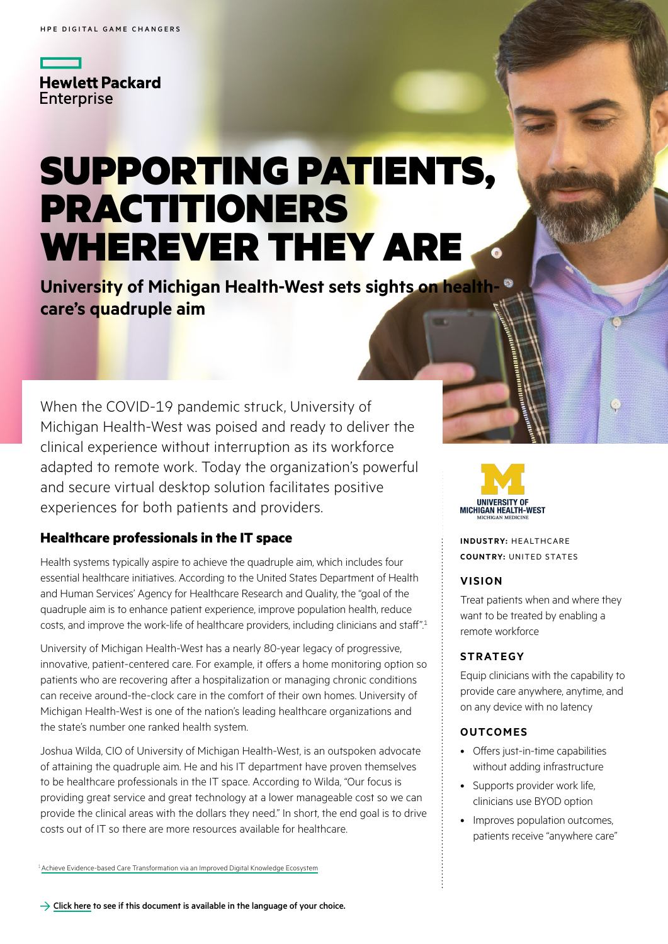**Hewlett Packard Enterprise** 

# SUPPORTING PATIENTS, PRACTITIONERS WHEREVER THEY ARE.

**University of Michigan Health-West sets sights on healthcare's quadruple aim**

When the COVID-19 pandemic struck, University of Michigan Health-West was poised and ready to deliver the clinical experience without interruption as its workforce adapted to remote work. Today the organization's powerful and secure virtual desktop solution facilitates positive experiences for both patients and providers.

## **Healthcare professionals in the IT space**

Health systems typically aspire to achieve the quadruple aim, which includes four essential healthcare initiatives. According to the United States Department of Health and Human Services' Agency for Healthcare Research and Quality, the "goal of the quadruple aim is to enhance patient experience, improve population health, reduce costs, and improve the work-life of healthcare providers, including clinicians and staff".1

University of Michigan Health-West has a nearly 80-year legacy of progressive, innovative, patient-centered care. For example, it offers a home monitoring option so patients who are recovering after a hospitalization or managing chronic conditions can receive around-the-clock care in the comfort of their own homes. University of Michigan Health-West is one of the nation's leading healthcare organizations and the state's number one ranked health system.

Joshua Wilda, CIO of University of Michigan Health-West, is an outspoken advocate of attaining the quadruple aim. He and his IT department have proven themselves to be healthcare professionals in the IT space. According to Wilda, "Our focus is providing great service and great technology at a lower manageable cost so we can provide the clinical areas with the dollars they need." In short, the end goal is to drive costs out of IT so there are more resources available for healthcare.

ve Evidence-based Care Transformation via an Improved Digital Knowledge Ecosystem



**INDUSTRY:** HEALTHCARE **COUNTRY:** UNITED STATES

#### **VISION**

Treat patients when and where they want to be treated by enabling a remote workforce

## **STRATEGY**

Equip clinicians with the capability to provide care anywhere, anytime, and on any device with no latency

#### **OUTCOMES**

- Offers just-in-time capabilities without adding infrastructure
- Supports provider work life, clinicians use BYOD option
- Improves population outcomes. patients receive "anywhere care"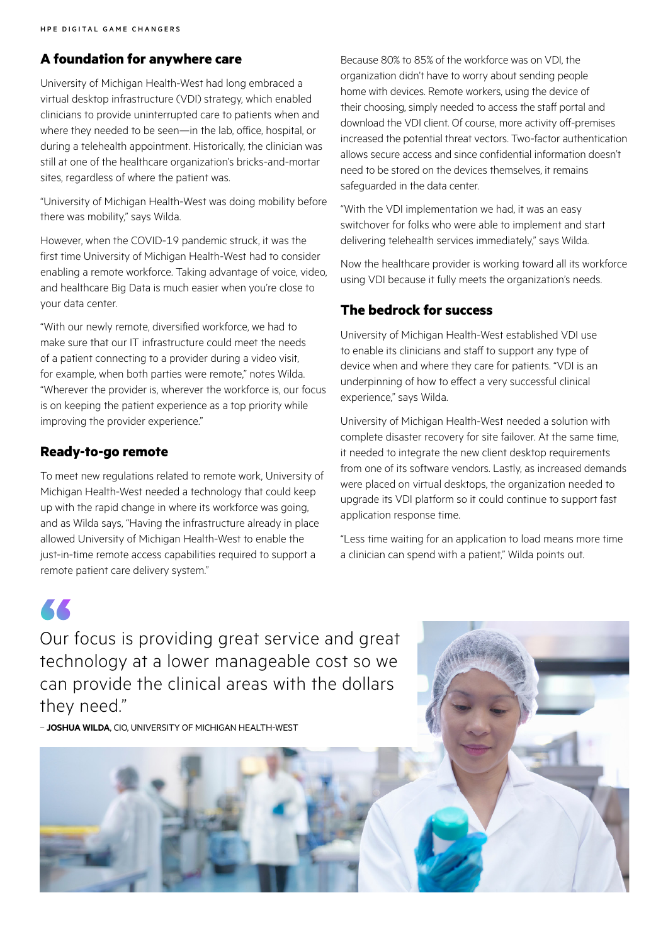## **A foundation for anywhere care**

University of Michigan Health-West had long embraced a virtual desktop infrastructure (VDI) strategy, which enabled clinicians to provide uninterrupted care to patients when and where they needed to be seen—in the lab, office, hospital, or during a telehealth appointment. Historically, the clinician was still at one of the healthcare organization's bricks-and-mortar sites, regardless of where the patient was.

"University of Michigan Health-West was doing mobility before there was mobility," says Wilda.

However, when the COVID-19 pandemic struck, it was the first time University of Michigan Health-West had to consider enabling a remote workforce. Taking advantage of voice, video, and healthcare Big Data is much easier when you're close to your data center.

"With our newly remote, diversified workforce, we had to make sure that our IT infrastructure could meet the needs of a patient connecting to a provider during a video visit, for example, when both parties were remote," notes Wilda. "Wherever the provider is, wherever the workforce is, our focus is on keeping the patient experience as a top priority while improving the provider experience."

## **Ready-to-go remote**

KK

To meet new regulations related to remote work, University of Michigan Health-West needed a technology that could keep up with the rapid change in where its workforce was going, and as Wilda says, "Having the infrastructure already in place allowed University of Michigan Health-West to enable the just-in-time remote access capabilities required to support a remote patient care delivery system."

Because 80% to 85% of the workforce was on VDI, the organization didn't have to worry about sending people home with devices. Remote workers, using the device of their choosing, simply needed to access the staff portal and download the VDI client. Of course, more activity off-premises increased the potential threat vectors. Two-factor authentication allows secure access and since confidential information doesn't need to be stored on the devices themselves, it remains safeguarded in the data center.

"With the VDI implementation we had, it was an easy switchover for folks who were able to implement and start delivering telehealth services immediately," says Wilda.

Now the healthcare provider is working toward all its workforce using VDI because it fully meets the organization's needs.

## **The bedrock for success**

University of Michigan Health-West established VDI use to enable its clinicians and staff to support any type of device when and where they care for patients. "VDI is an underpinning of how to effect a very successful clinical experience," says Wilda.

University of Michigan Health-West needed a solution with complete disaster recovery for site failover. At the same time, it needed to integrate the new client desktop requirements from one of its software vendors. Lastly, as increased demands were placed on virtual desktops, the organization needed to upgrade its VDI platform so it could continue to support fast application response time.

"Less time waiting for an application to load means more time a clinician can spend with a patient," Wilda points out.

Our focus is providing great service and great technology at a lower manageable cost so we can provide the clinical areas with the dollars they need."

– **JOSHUA WILDA**, CIO, UNIVERSITY OF MICHIGAN HEALTH-WEST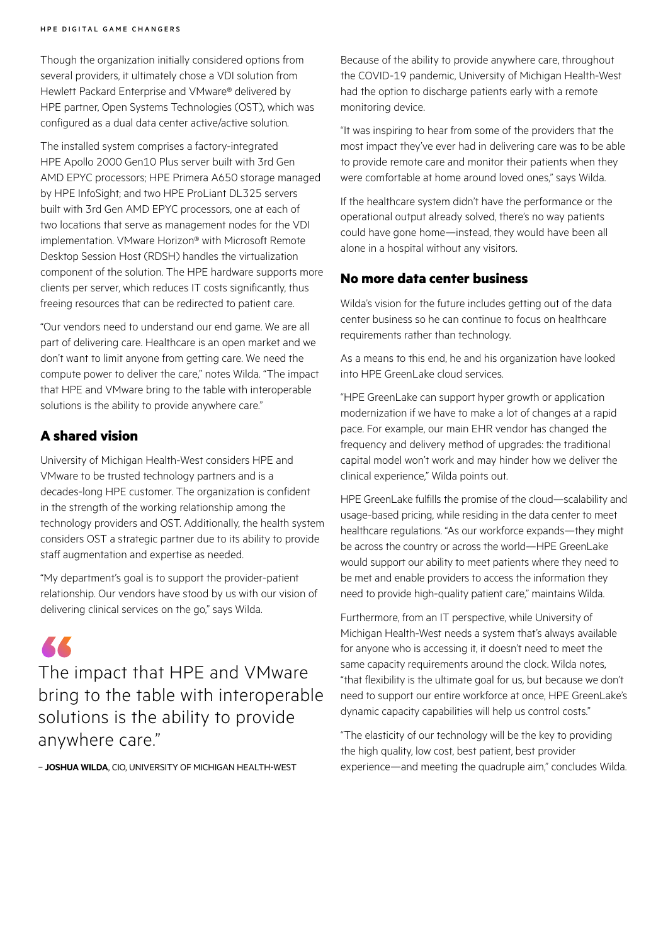Though the organization initially considered options from several providers, it ultimately chose a VDI solution from Hewlett Packard Enterprise and VMware® delivered by HPE partner, Open Systems Technologies (OST), which was configured as a dual data center active/active solution.

The installed system comprises a factory-integrated HPE Apollo 2000 Gen10 Plus server built with 3rd Gen AMD EPYC processors; HPE Primera A650 storage managed by HPE InfoSight; and two HPE ProLiant DL325 servers built with 3rd Gen AMD EPYC processors, one at each of two locations that serve as management nodes for the VDI implementation. VMware Horizon® with Microsoft Remote Desktop Session Host (RDSH) handles the virtualization component of the solution. The HPE hardware supports more clients per server, which reduces IT costs significantly, thus freeing resources that can be redirected to patient care.

"Our vendors need to understand our end game. We are all part of delivering care. Healthcare is an open market and we don't want to limit anyone from getting care. We need the compute power to deliver the care," notes Wilda. "The impact that HPE and VMware bring to the table with interoperable solutions is the ability to provide anywhere care."

## **A shared vision**

University of Michigan Health-West considers HPE and VMware to be trusted technology partners and is a decades-long HPE customer. The organization is confident in the strength of the working relationship among the technology providers and OST. Additionally, the health system considers OST a strategic partner due to its ability to provide staff augmentation and expertise as needed.

"My department's goal is to support the provider-patient relationship. Our vendors have stood by us with our vision of delivering clinical services on the go," says Wilda.

KK The impact that HPE and VMware bring to the table with interoperable solutions is the ability to provide anywhere care."

– **JOSHUA WILDA**, CIO, UNIVERSITY OF MICHIGAN HEALTH-WEST

Because of the ability to provide anywhere care, throughout the COVID-19 pandemic, University of Michigan Health-West had the option to discharge patients early with a remote monitoring device.

"It was inspiring to hear from some of the providers that the most impact they've ever had in delivering care was to be able to provide remote care and monitor their patients when they were comfortable at home around loved ones," says Wilda.

If the healthcare system didn't have the performance or the operational output already solved, there's no way patients could have gone home—instead, they would have been all alone in a hospital without any visitors.

## **No more data center business**

Wilda's vision for the future includes getting out of the data center business so he can continue to focus on healthcare requirements rather than technology.

As a means to this end, he and his organization have looked into HPE GreenLake cloud services.

"HPE GreenLake can support hyper growth or application modernization if we have to make a lot of changes at a rapid pace. For example, our main EHR vendor has changed the frequency and delivery method of upgrades: the traditional capital model won't work and may hinder how we deliver the clinical experience," Wilda points out.

HPE GreenLake fulfills the promise of the cloud—scalability and usage-based pricing, while residing in the data center to meet healthcare regulations. "As our workforce expands—they might be across the country or across the world—HPE GreenLake would support our ability to meet patients where they need to be met and enable providers to access the information they need to provide high-quality patient care," maintains Wilda.

Furthermore, from an IT perspective, while University of Michigan Health-West needs a system that's always available for anyone who is accessing it, it doesn't need to meet the same capacity requirements around the clock. Wilda notes, "that flexibility is the ultimate goal for us, but because we don't need to support our entire workforce at once, HPE GreenLake's dynamic capacity capabilities will help us control costs."

"The elasticity of our technology will be the key to providing the high quality, low cost, best patient, best provider experience—and meeting the quadruple aim," concludes Wilda.